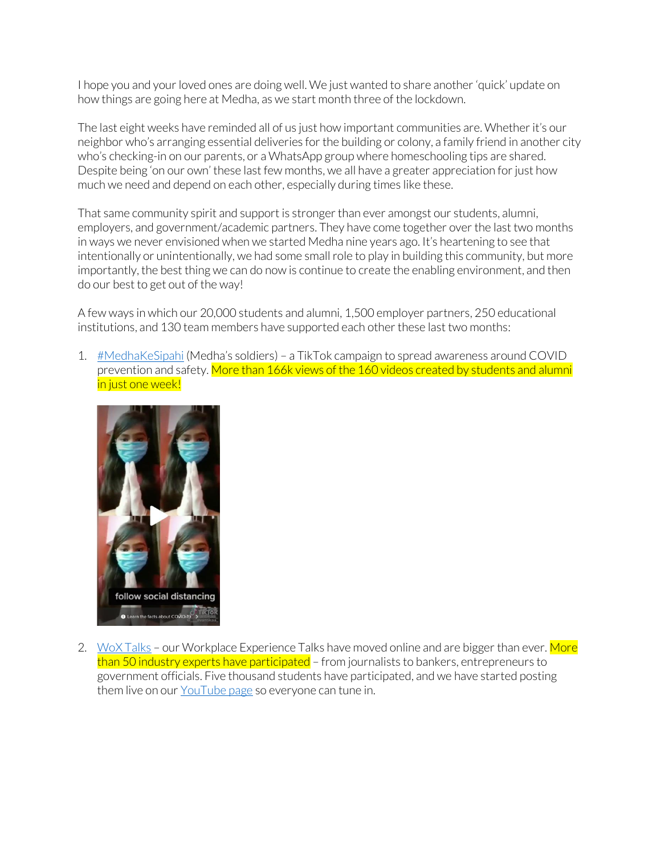I hope you and your loved ones are doing well. We just wanted to share another 'quick' update on how things are going here at Medha, as we start month three of the lockdown.

The last eight weeks have reminded all of us just how important communities are. Whether it's our neighbor who's arranging essential deliveries for the building or colony, a family friend in another city who's checking-in on our parents, or a WhatsApp group where homeschooling tips are shared. Despite being 'on our own' these last few months, we all have a greater appreciation for just how much we need and depend on each other, especially during times like these.

That same community spirit and support is stronger than ever amongst our students, alumni, employers, and government/academic partners. They have come together over the last two months in ways we never envisioned when we started Medha nine years ago. It's heartening to see that intentionally or unintentionally, we had some small role to play in building this community, but more importantly, the best thing we can do now is continue to create the enabling environment, and then do our best to get out of the way!

A few ways in which our 20,000 students and alumni, 1,500 employer partners, 250 educational institutions, and 130 team members have supported each other these last two months:

1. [#MedhaKeSipahi](https://www.tiktok.com/tag/medhakesipahi?lang=en) (Medha's soldiers) - a TikTok campaign to spread awareness around COVID prevention and safety. More than 166k views of the 160 videos created by students and alumni in just one week!



2. [WoX Talks](https://www.youtube.com/playlist?list=PLzaEqvjERCJJWWjaSZzBzmfPiWpxo8ztc) – our Workplace Experience Talks have moved online and are bigger than ever. More than 50 industry experts have participated – from journalists to bankers, entrepreneurs to government officials. Five thousand students have participated, and we have started posting them live on our [YouTube page](https://www.youtube.com/channel/UCpJ9557WRNxNN81z0VuzKfQ/featured) so everyone can tune in.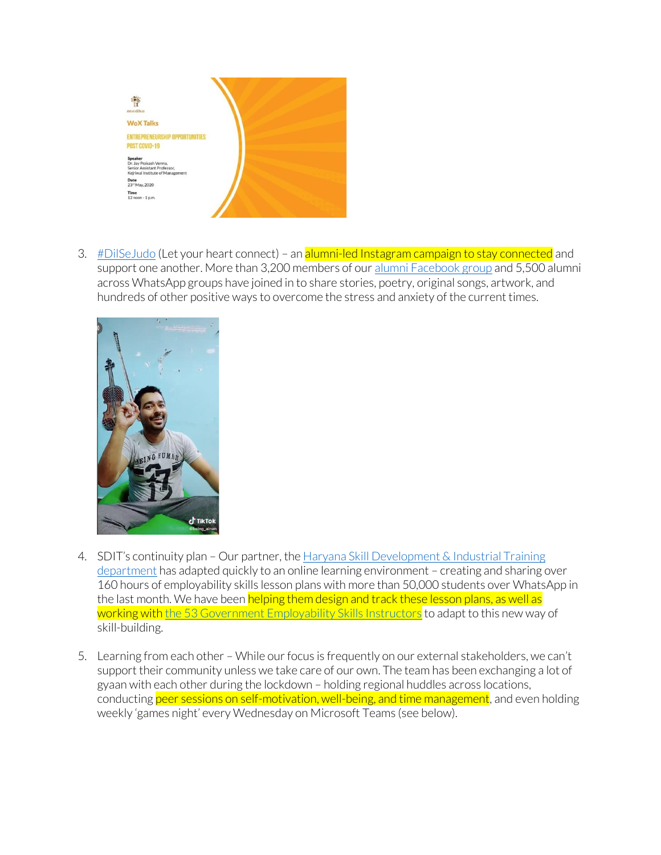

3. #DilSe Judo (Let your heart connect) – an alumni-led Instagram campaign to stay connected and support one another. More than 3,200 members of our [alumni Facebook group](https://www.facebook.com/groups/548093505304442/) and 5,500 alumni across WhatsApp groups have joined in to share stories, poetry, original songs, artwork, and hundreds of other positive ways to overcome the stress and anxiety of the current times.



- 4. SDIT's continuity plan Our partner, the [Haryana Skill Development & Industrial Training](https://itiharyana.gov.in/en)  [department](https://itiharyana.gov.in/en) has adapted quickly to an online learning environment – creating and sharing over 160 hours of employability skills lesson plans with more than 50,000 students over WhatsApp in the last month. We have been helping them design and track these lesson plans, as well as working with [the 53 Government Employability Skills Instructors](https://medhacorp-my.sharepoint.com/:v:/g/personal/cturillo_medha_org_in/EWtfeoiGBRFBuddgaKvjCFgBK8HRZ4Q_XLm6z3fF2i_KDg?e=lSUhHl)</u> to adapt to this new way of skill-building.
- 5. Learning from each other While our focus is frequently on our external stakeholders, we can't support their community unless we take care of our own. The team has been exchanging a lot of gyaan with each other during the lockdown – holding regional huddles across locations, conducting peer sessions on self-motivation, well-being, and time management, and even holding weekly 'games night' every Wednesday on Microsoft Teams (see below).